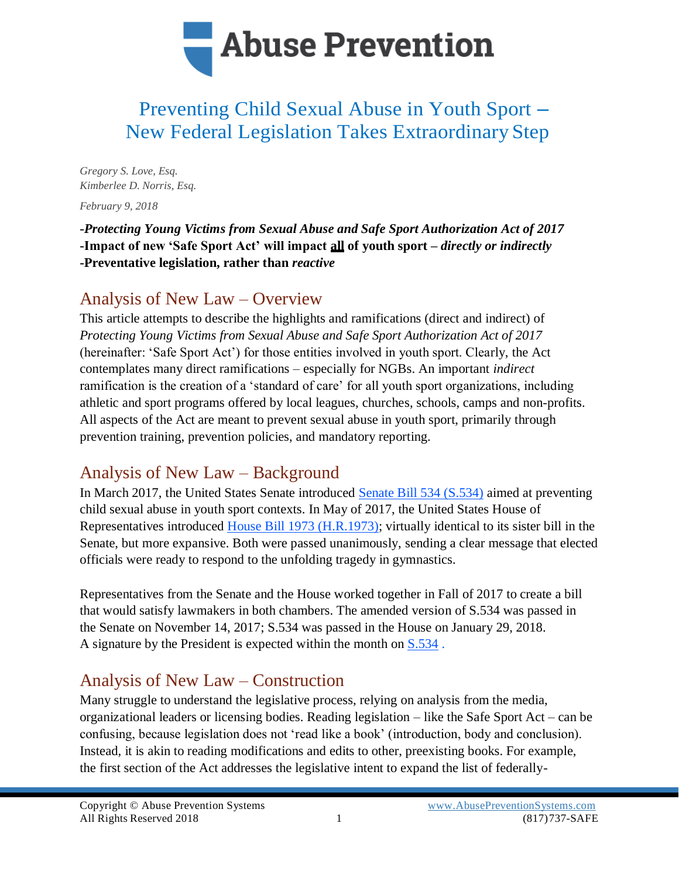

# Preventing Child Sexual Abuse in Youth Sport – New Federal Legislation Takes Extraordinary Step

*Gregory S. Love, Esq. Kimberlee D. Norris, Esq.*

*February 9, 2018*

**-***Protecting Young Victims from Sexual Abuse and Safe Sport Authorization Act of 2017* **-Impact of new 'Safe Sport Act' will impact all of youth sport –** *directly or indirectly* **-Preventative legislation, rather than** *reactive*

### Analysis of New Law – Overview

This article attempts to describe the highlights and ramifications (direct and indirect) of *Protecting Young Victims from Sexual Abuse and Safe Sport Authorization Act of 2017*  (hereinafter: 'Safe Sport Act') for those entities involved in youth sport. Clearly, the Act contemplates many direct ramifications – especially for NGBs. An important *indirect*  ramification is the creation of a 'standard of care' for all youth sport organizations, including athletic and sport programs offered by local leagues, churches, schools, camps and non-profits. All aspects of the Act are meant to prevent sexual abuse in youth sport, primarily through prevention training, prevention policies, and mandatory reporting.

### Analysis of New Law – Background

In March 2017, the United States Senate introduced [Senate Bill 534 \(S.534\)](https://abusepreventionsystems.com/wp-content/uploads/2018/01/S.534.pdf) aimed at preventing child sexual abuse in youth sport contexts. In May of 2017, the United States House of Representatives introduced [House Bill 1973 \(H.R.1973\);](https://abusepreventionsystems.com/wp-content/uploads/2018/01/H.R.-1973.pdf) virtually identical to its sister bill in the Senate, but more expansive. Both were passed unanimously, sending a clear message that elected officials were ready to respond to the unfolding tragedy in gymnastics.

Representatives from the Senate and the House worked together in Fall of 2017 to create a bill that would satisfy lawmakers in both chambers. The amended version of S.534 was passed in the Senate on November 14, 2017; S.534 was passed in the House on January 29, 2018. A signature by the President is expected within the month on [S.534](https://abusepreventionsystems.com/wp-content/uploads/2018/02/S.534-Abuse-Prevention-in-Youth-Sports.pdf) .

### Analysis of New Law – Construction

Many struggle to understand the legislative process, relying on analysis from the media, organizational leaders or licensing bodies. Reading legislation – like the Safe Sport Act – can be confusing, because legislation does not 'read like a book' (introduction, body and conclusion). Instead, it is akin to reading modifications and edits to other, preexisting books. For example, the first section of the Act addresses the legislative intent to expand the list of federally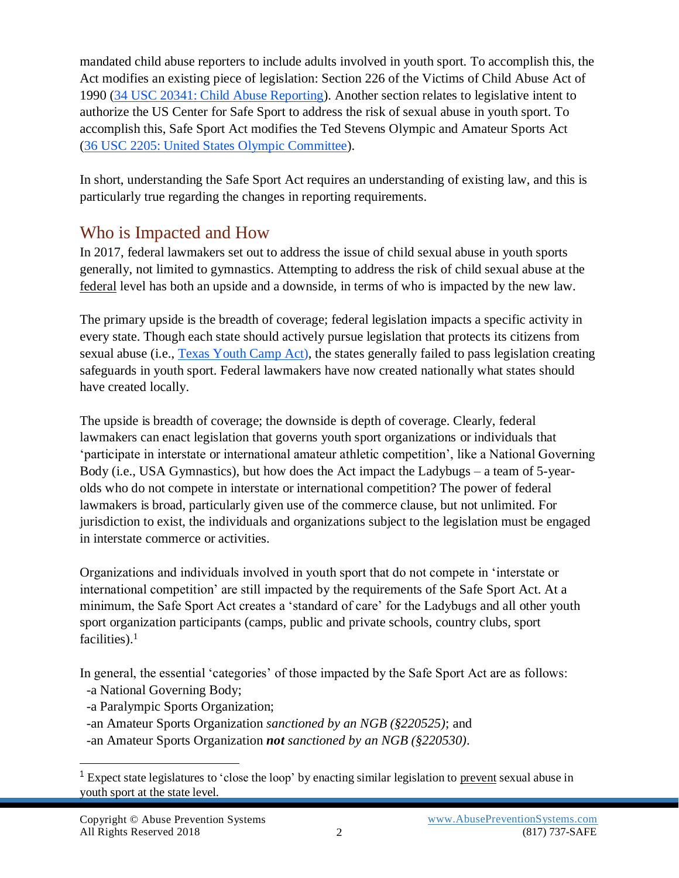mandated child abuse reporters to include adults involved in youth sport. To accomplish this, the Act modifies an existing piece of legislation: Section 226 of the Victims of Child Abuse Act of 1990 [\(34 USC 20341: Child Abuse Reporting\)](https://abusepreventionsystems.com/wp-content/uploads/2018/01/Section-20341-Reporting-Code.pdf). Another section relates to legislative intent to authorize the US Center for Safe Sport to address the risk of sexual abuse in youth sport. To accomplish this, Safe Sport Act modifies the Ted Stevens Olympic and Amateur Sports Act [\(36 USC 2205: United States Olympic Committee\)](https://abusepreventionsystems.com/wp-content/uploads/2018/01/Section-2205-Olympic-Committee.pdf).

In short, understanding the Safe Sport Act requires an understanding of existing law, and this is particularly true regarding the changes in reporting requirements.

### Who is Impacted and How

In 2017, federal lawmakers set out to address the issue of child sexual abuse in youth sports generally, not limited to gymnastics. Attempting to address the risk of child sexual abuse at the federal level has both an upside and a downside, in terms of who is impacted by the new law.

The primary upside is the breadth of coverage; federal legislation impacts a specific activity in every state. Though each state should actively pursue legislation that protects its citizens from sexual abuse (i.e., [Texas Youth Camp Act\)](https://abusepreventionsystems.com/wp-content/uploads/2015/11/txadmin265_5_16_10.pdf), the states generally failed to pass legislation creating safeguards in youth sport. Federal lawmakers have now created nationally what states should have created locally.

The upside is breadth of coverage; the downside is depth of coverage. Clearly, federal lawmakers can enact legislation that governs youth sport organizations or individuals that 'participate in interstate or international amateur athletic competition', like a National Governing Body (i.e., USA Gymnastics), but how does the Act impact the Ladybugs – a team of 5-yearolds who do not compete in interstate or international competition? The power of federal lawmakers is broad, particularly given use of the commerce clause, but not unlimited. For jurisdiction to exist, the individuals and organizations subject to the legislation must be engaged in interstate commerce or activities.

Organizations and individuals involved in youth sport that do not compete in 'interstate or international competition' are still impacted by the requirements of the Safe Sport Act. At a minimum, the Safe Sport Act creates a 'standard of care' for the Ladybugs and all other youth sport organization participants (camps, public and private schools, country clubs, sport facilities).<sup>1</sup>

In general, the essential 'categories' of those impacted by the Safe Sport Act are as follows: -a National Governing Body;

- 
- -a Paralympic Sports Organization;
- -an Amateur Sports Organization *sanctioned by an NGB (§220525)*; and
- -an Amateur Sports Organization *not sanctioned by an NGB (§220530)*.

<sup>&</sup>lt;sup>1</sup> Expect state legislatures to 'close the loop' by enacting similar legislation to prevent sexual abuse in youth sport at the state level.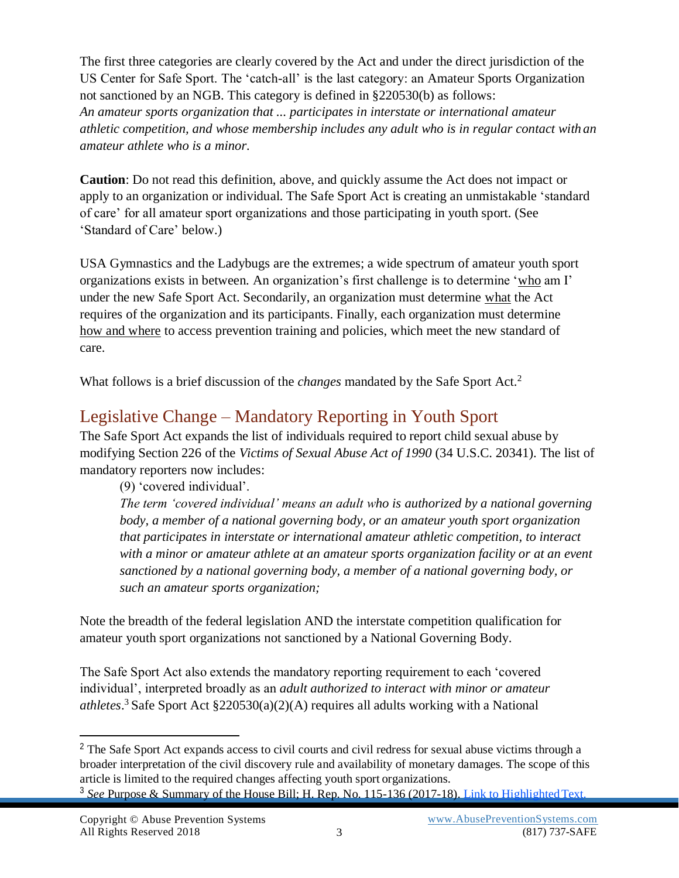The first three categories are clearly covered by the Act and under the direct jurisdiction of the US Center for Safe Sport. The 'catch-all' is the last category: an Amateur Sports Organization not sanctioned by an NGB. This category is defined in §220530(b) as follows: *An amateur sports organization that ... participates in interstate or international amateur athletic competition, and whose membership includes any adult who is in regular contact with an amateur athlete who is a minor.*

**Caution**: Do not read this definition, above, and quickly assume the Act does not impact or apply to an organization or individual. The Safe Sport Act is creating an unmistakable 'standard of care' for all amateur sport organizations and those participating in youth sport. (See 'Standard of Care' below.)

USA Gymnastics and the Ladybugs are the extremes; a wide spectrum of amateur youth sport organizations exists in between. An organization's first challenge is to determine 'who am I' under the new Safe Sport Act. Secondarily, an organization must determine what the Act requires of the organization and its participants. Finally, each organization must determine how and where to access prevention training and policies, which meet the new standard of care.

What follows is a brief discussion of the *changes* mandated by the Safe Sport Act.<sup>2</sup>

### Legislative Change – Mandatory Reporting in Youth Sport

The Safe Sport Act expands the list of individuals required to report child sexual abuse by modifying Section 226 of the *Victims of Sexual Abuse Act of 1990* (34 U.S.C. 20341). The list of mandatory reporters now includes:

(9) 'covered individual'.

*The term 'covered individual' means an adult who is authorized by a national governing body, a member of a national governing body, or an amateur youth sport organization that participates in interstate or international amateur athletic competition, to interact with a minor or amateur athlete at an amateur sports organization facility or at an event sanctioned by a national governing body, a member of a national governing body, or such an amateur sports organization;*

Note the breadth of the federal legislation AND the interstate competition qualification for amateur youth sport organizations not sanctioned by a National Governing Body.

The Safe Sport Act also extends the mandatory reporting requirement to each 'covered individual', interpreted broadly as an *adult authorized to interact with minor or amateur athletes*. <sup>3</sup>Safe Sport Act §220530(a)(2)(A) requires all adults working with a National

<sup>&</sup>lt;sup>2</sup> The Safe Sport Act expands access to civil courts and civil redress for sexual abuse victims through a broader interpretation of the civil discovery rule and availability of monetary damages. The scope of this article is limited to the required changes affecting youth sport organizations.

<sup>3</sup> *See* Purpose & Summary of the House Bill; H. Rep. No. 115-136 (2017-18). [Link to HighlightedText.](https://abusepreventionsystems.com/wp-content/uploads/2018/01/Protecting-Young-Victims-from-Sexual-Abuse-Act-of-2017.pdf)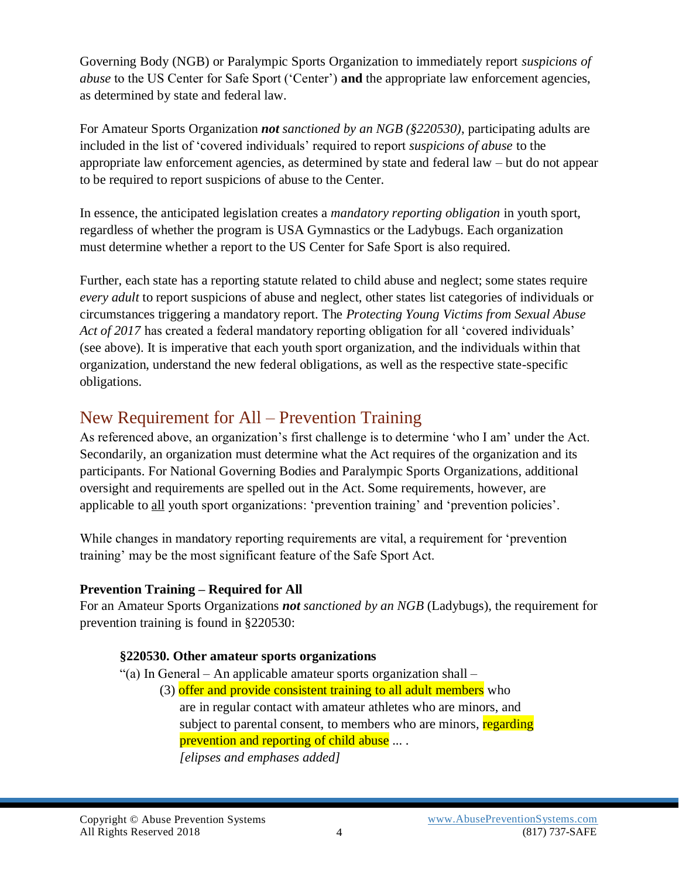Governing Body (NGB) or Paralympic Sports Organization to immediately report *suspicions of abuse* to the US Center for Safe Sport ('Center') **and** the appropriate law enforcement agencies, as determined by state and federal law.

For Amateur Sports Organization *not sanctioned by an NGB (§220530)*, participating adults are included in the list of 'covered individuals' required to report *suspicions of abuse* to the appropriate law enforcement agencies, as determined by state and federal law – but do not appear to be required to report suspicions of abuse to the Center.

In essence, the anticipated legislation creates a *mandatory reporting obligation* in youth sport, regardless of whether the program is USA Gymnastics or the Ladybugs. Each organization must determine whether a report to the US Center for Safe Sport is also required.

Further, each state has a reporting statute related to child abuse and neglect; some states require *every adult* to report suspicions of abuse and neglect, other states list categories of individuals or circumstances triggering a mandatory report. The *Protecting Young Victims from Sexual Abuse Act of 2017* has created a federal mandatory reporting obligation for all 'covered individuals' (see above). It is imperative that each youth sport organization, and the individuals within that organization, understand the new federal obligations, as well as the respective state-specific obligations.

### New Requirement for All – Prevention Training

As referenced above, an organization's first challenge is to determine 'who I am' under the Act. Secondarily, an organization must determine what the Act requires of the organization and its participants. For National Governing Bodies and Paralympic Sports Organizations, additional oversight and requirements are spelled out in the Act. Some requirements, however, are applicable to all youth sport organizations: 'prevention training' and 'prevention policies'.

While changes in mandatory reporting requirements are vital, a requirement for 'prevention training' may be the most significant feature of the Safe Sport Act.

### **Prevention Training – Required for All**

For an Amateur Sports Organizations *not sanctioned by an NGB* (Ladybugs), the requirement for prevention training is found in §220530:

#### **§220530. Other amateur sports organizations**

- "(a) In General An applicable amateur sports organization shall
	- (3) offer and provide consistent training to all adult members who are in regular contact with amateur athletes who are minors, and subject to parental consent, to members who are minors, regarding prevention and reporting of child abuse .... *[elipses and emphases added]*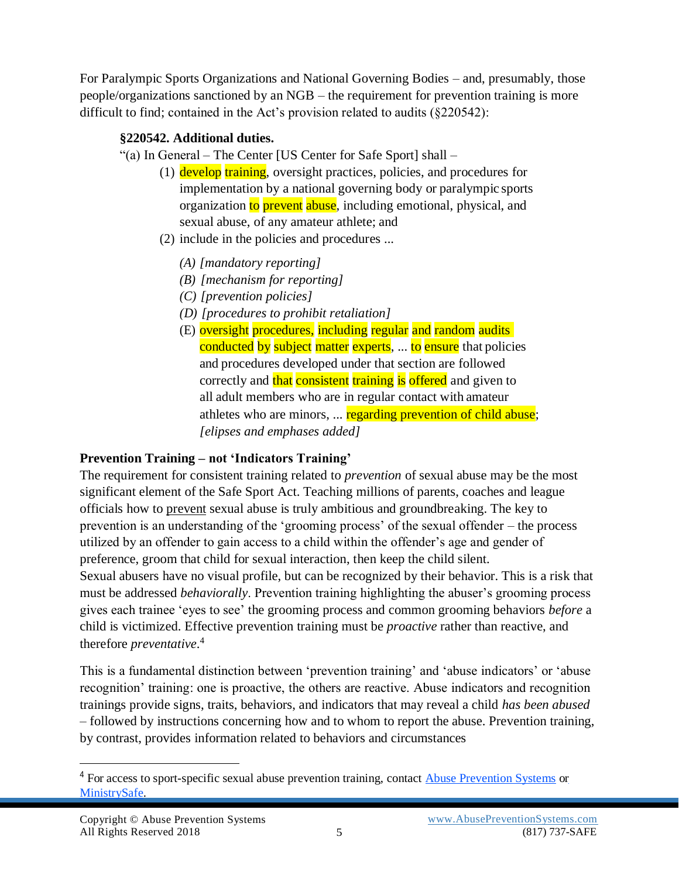For Paralympic Sports Organizations and National Governing Bodies – and, presumably, those people/organizations sanctioned by an NGB – the requirement for prevention training is more difficult to find; contained in the Act's provision related to audits (§220542):

### **§220542. Additional duties.**

- "(a) In General The Center [US Center for Safe Sport] shall
	- (1) develop training, oversight practices, policies, and procedures for implementation by a national governing body or paralympic sports organization to prevent abuse, including emotional, physical, and sexual abuse, of any amateur athlete; and
	- (2) include in the policies and procedures ...
		- *(A) [mandatory reporting]*
		- *(B) [mechanism for reporting]*
		- *(C) [prevention policies]*
		- *(D) [procedures to prohibit retaliation]*
		- (E) oversight procedures, including regular and random audits conducted by subject matter experts, ... to ensure that policies and procedures developed under that section are followed correctly and that consistent training is offered and given to all adult members who are in regular contact with amateur athletes who are minors, ... **regarding prevention of child abuse**; *[elipses and emphases added]*

### **Prevention Training – not 'Indicators Training'**

The requirement for consistent training related to *prevention* of sexual abuse may be the most significant element of the Safe Sport Act. Teaching millions of parents, coaches and league officials how to prevent sexual abuse is truly ambitious and groundbreaking. The key to prevention is an understanding of the 'grooming process' of the sexual offender – the process utilized by an offender to gain access to a child within the offender's age and gender of preference, groom that child for sexual interaction, then keep the child silent. Sexual abusers have no visual profile, but can be recognized by their behavior. This is a risk that

must be addressed *behaviorally*. Prevention training highlighting the abuser's grooming process gives each trainee 'eyes to see' the grooming process and common grooming behaviors *before* a child is victimized. Effective prevention training must be *proactive* rather than reactive, and therefore *preventative*. 4

This is a fundamental distinction between 'prevention training' and 'abuse indicators' or 'abuse recognition' training: one is proactive, the others are reactive. Abuse indicators and recognition trainings provide signs, traits, behaviors, and indicators that may reveal a child *has been abused* – followed by instructions concerning how and to whom to report the abuse. Prevention training, by contrast, provides information related to behaviors and circumstances

<sup>&</sup>lt;sup>4</sup> For access to sport-specific sexual abuse prevention training, contact [Abuse Prevention Systems](http://www.abusepreventionsystems.com/) o[r](http://www.ministrysafe.com/) [MinistrySafe.](http://www.ministrysafe.com/)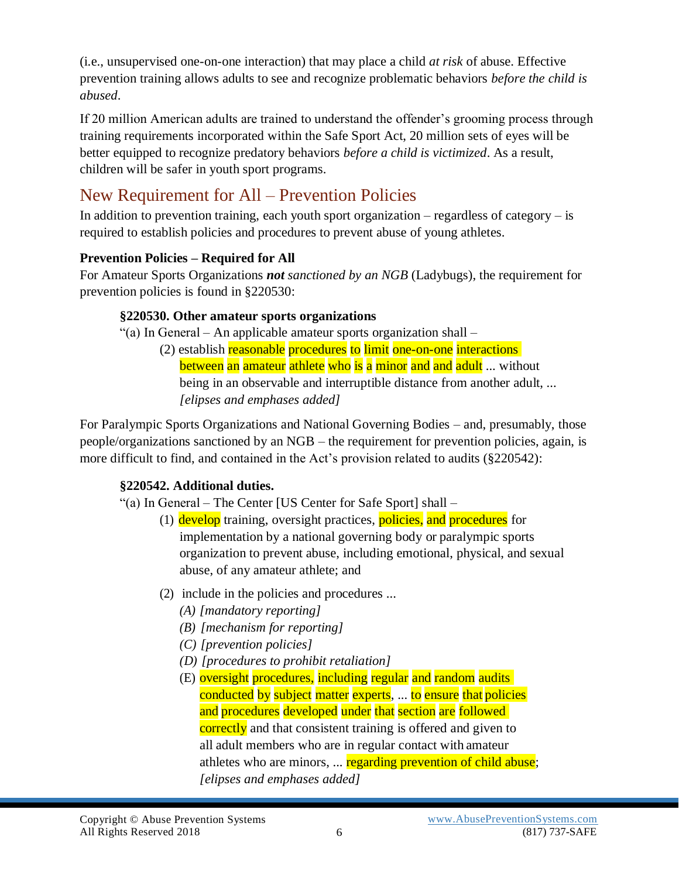(i.e., unsupervised one-on-one interaction) that may place a child *at risk* of abuse. Effective prevention training allows adults to see and recognize problematic behaviors *before the child is abused*.

If 20 million American adults are trained to understand the offender's grooming process through training requirements incorporated within the Safe Sport Act, 20 million sets of eyes will be better equipped to recognize predatory behaviors *before a child is victimized*. As a result, children will be safer in youth sport programs.

## New Requirement for All – Prevention Policies

In addition to prevention training, each youth sport organization – regardless of category – is required to establish policies and procedures to prevent abuse of young athletes.

### **Prevention Policies – Required for All**

For Amateur Sports Organizations *not sanctioned by an NGB* (Ladybugs), the requirement for prevention policies is found in §220530:

### **§220530. Other amateur sports organizations**

"(a) In General – An applicable amateur sports organization shall –

(2) establish reasonable procedures to limit one-on-one interactions between an amateur athlete who is a minor and and adult ... without being in an observable and interruptible distance from another adult, ... *[elipses and emphases added]*

For Paralympic Sports Organizations and National Governing Bodies – and, presumably, those people/organizations sanctioned by an NGB – the requirement for prevention policies, again, is more difficult to find, and contained in the Act's provision related to audits (§220542):

### **§220542. Additional duties.**

"(a) In General – The Center [US Center for Safe Sport] shall –

- (1) develop training, oversight practices, policies, and procedures for implementation by a national governing body or paralympic sports organization to prevent abuse, including emotional, physical, and sexual abuse, of any amateur athlete; and
- (2) include in the policies and procedures ...
	- *(A) [mandatory reporting]*
	- *(B) [mechanism for reporting]*
	- *(C) [prevention policies]*
	- *(D) [procedures to prohibit retaliation]*
	- (E) oversight procedures, including regular and random audits conducted by subject matter experts, ... to ensure that policies and procedures developed under that section are followed correctly and that consistent training is offered and given to all adult members who are in regular contact with amateur athletes who are minors, ... **regarding prevention of child abuse**; *[elipses and emphases added]*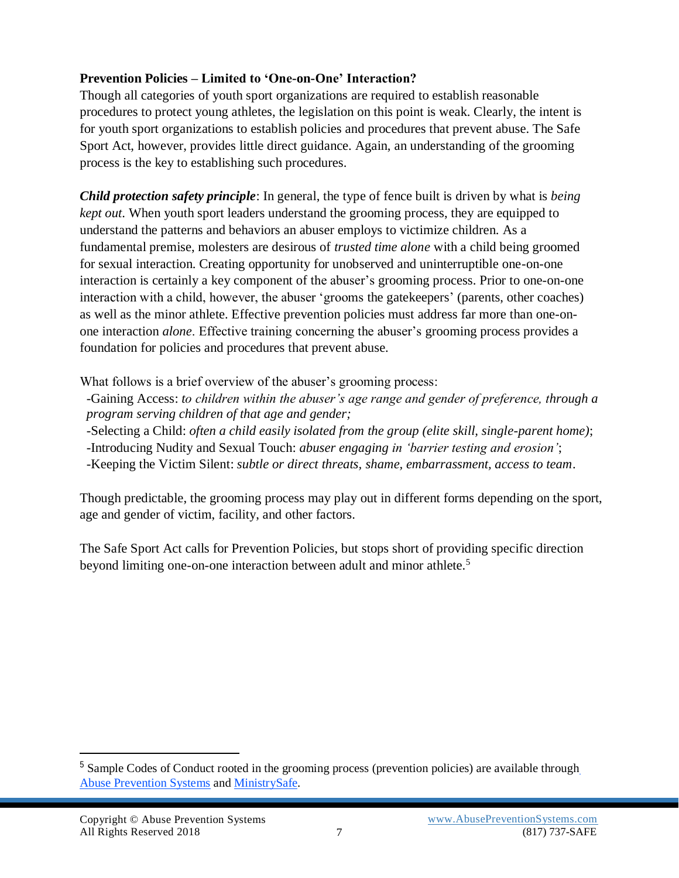#### **Prevention Policies – Limited to 'One-on-One' Interaction?**

Though all categories of youth sport organizations are required to establish reasonable procedures to protect young athletes, the legislation on this point is weak. Clearly, the intent is for youth sport organizations to establish policies and procedures that prevent abuse. The Safe Sport Act, however, provides little direct guidance. Again, an understanding of the grooming process is the key to establishing such procedures.

*Child protection safety principle*: In general, the type of fence built is driven by what is *being kept out*. When youth sport leaders understand the grooming process, they are equipped to understand the patterns and behaviors an abuser employs to victimize children. As a fundamental premise, molesters are desirous of *trusted time alone* with a child being groomed for sexual interaction. Creating opportunity for unobserved and uninterruptible one-on-one interaction is certainly a key component of the abuser's grooming process. Prior to one-on-one interaction with a child, however, the abuser 'grooms the gatekeepers' (parents, other coaches) as well as the minor athlete. Effective prevention policies must address far more than one-onone interaction *alone*. Effective training concerning the abuser's grooming process provides a foundation for policies and procedures that prevent abuse.

What follows is a brief overview of the abuser's grooming process:

-Gaining Access: *to children within the abuser's age range and gender of preference, through a program serving children of that age and gender;*

-Selecting a Child: *often a child easily isolated from the group (elite skill, single-parent home)*; -Introducing Nudity and Sexual Touch: *abuser engaging in 'barrier testing and erosion'*;

-Keeping the Victim Silent: *subtle or direct threats, shame, embarrassment, access to team*.

Though predictable, the grooming process may play out in different forms depending on the sport, age and gender of victim, facility, and other factors.

The Safe Sport Act calls for Prevention Policies, but stops short of providing specific direction beyond limiting one-on-one interaction between adult and minor athlete.<sup>5</sup>

<sup>&</sup>lt;sup>5</sup> Sample Codes of Conduct rooted in t[h](http://www.abusepreventionsystems.com/)e grooming process (prevention policies) are available through [Abuse Prevention Systems](http://www.abusepreventionsystems.com/) and [MinistrySafe.](http://www.ministrysafe.com/)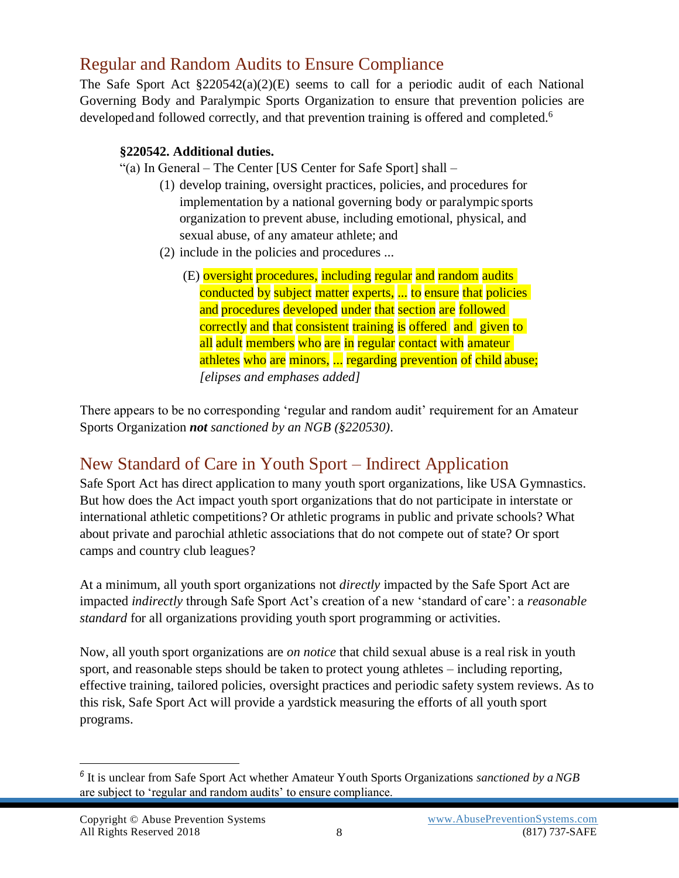### Regular and Random Audits to Ensure Compliance

The Safe Sport Act §220542(a)(2)(E) seems to call for a periodic audit of each National Governing Body and Paralympic Sports Organization to ensure that prevention policies are developed and followed correctly, and that prevention training is offered and completed.<sup>6</sup>

#### **§220542. Additional duties.**

"(a) In General – The Center [US Center for Safe Sport] shall –

- (1) develop training, oversight practices, policies, and procedures for implementation by a national governing body or paralympic sports organization to prevent abuse, including emotional, physical, and sexual abuse, of any amateur athlete; and
- (2) include in the policies and procedures ...
	- (E) oversight procedures, including regular and random audits conducted by subject matter experts, ... to ensure that policies and procedures developed under that section are followed correctly and that consistent training is offered and given to all adult members who are in regular contact with amateur athletes who are minors, ... regarding prevention of child abuse; *[elipses and emphases added]*

There appears to be no corresponding 'regular and random audit' requirement for an Amateur Sports Organization *not sanctioned by an NGB (§220530)*.

## New Standard of Care in Youth Sport – Indirect Application

Safe Sport Act has direct application to many youth sport organizations, like USA Gymnastics. But how does the Act impact youth sport organizations that do not participate in interstate or international athletic competitions? Or athletic programs in public and private schools? What about private and parochial athletic associations that do not compete out of state? Or sport camps and country club leagues?

At a minimum, all youth sport organizations not *directly* impacted by the Safe Sport Act are impacted *indirectly* through Safe Sport Act's creation of a new 'standard of care': a *reasonable standard* for all organizations providing youth sport programming or activities.

Now, all youth sport organizations are *on notice* that child sexual abuse is a real risk in youth sport, and reasonable steps should be taken to protect young athletes – including reporting, effective training, tailored policies, oversight practices and periodic safety system reviews. As to this risk, Safe Sport Act will provide a yardstick measuring the efforts of all youth sport programs.

*<sup>6</sup>* It is unclear from Safe Sport Act whether Amateur Youth Sports Organizations *sanctioned by aNGB* are subject to 'regular and random audits' to ensure compliance.